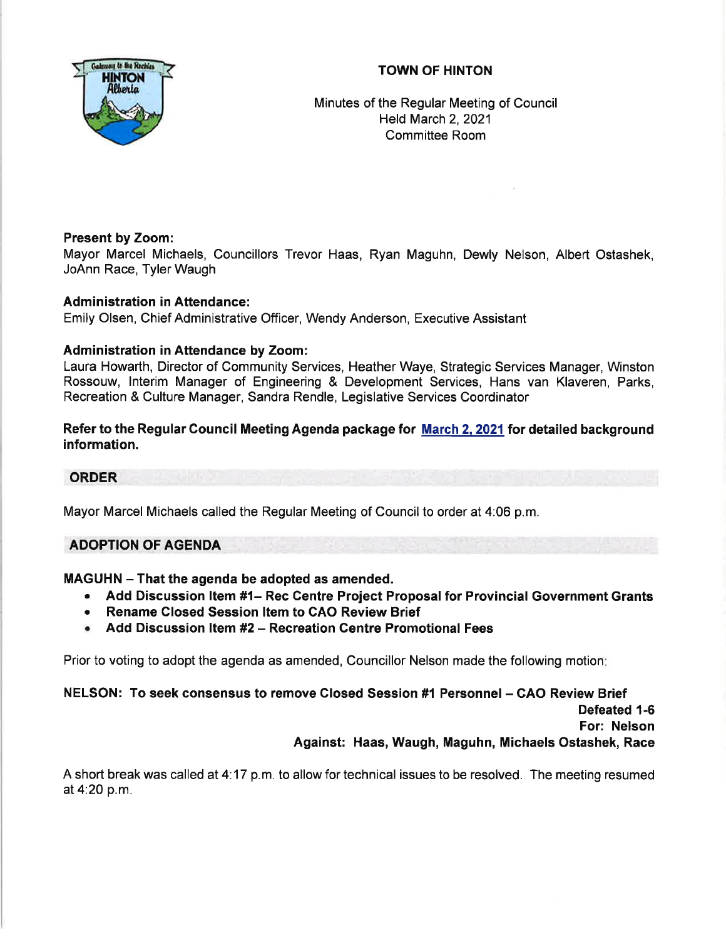# TOWN OF HINTON



Minutes of the Regular Meeting of Council Held March 2,2021 Committee Room

# Present by Zoom:

Mayor Marcel Michaels, Councillors Trevor Haas, Ryan Maguhn, Dewly Nelson, Albert Ostashek, JoAnn Race, Tyler Waugh

# Administration in Attendance:

Emily Olsen, Chief Administrative Officer, Wendy Anderson, Executive Assistant

## Administration in Attendance by Zoom:

Laura Howarth, Director of Community Services, Heather Waye, Strategic Services Manager, Winston Rossouw, lnterim Manager of Engineering & Development Services, Hans van Klaveren, Parks, Recreation & Culture Manager, Sandra Rendle, Legislative Services Coordinator

# Refer to the Regular Council Meeting Agenda package for March 2, 2021 for detailed background information.

### ORDER

Mayor Marcel Michaels called the Regular Meeting of Council to order at 4:06 p.m.

# ADOPTION OF AGENDA

### MAGUHN - That the agenda be adopted as amended.

- Add Discussion Item #1– Rec Centre Project Proposal for Provincial Government Grants
- . Rename Closed Session ltem to GAO Review Brief
- o Add Discussion ltem #2 Recreation Centre Promotional Fees

Prior to voting to adopt the agenda as amended, Councillor Nelson made the following motion

NELSON: To seek consensus to remove Closed Session #1 Personnel - CAO Review Brief Defeated 1-6

For: Nelson

Against: Haas, Waugh, Maguhn, Michaels Ostashek, Race

A short break was called at 4.17 p.m. to allow for technical issues to be resolved. The meeting resumed at4:20 p.m.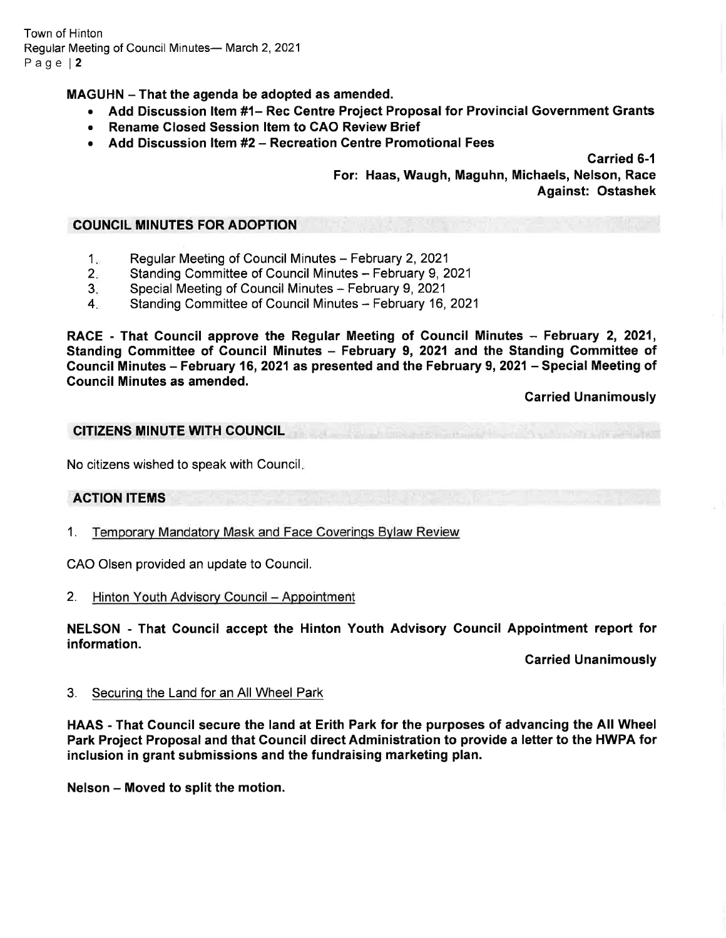Town of Hinton Regular Meeting of Council Minutes- March 2, 2021 Page l2

MAGUHN - That the agenda be adopted as amended.

- Add Discussion Item #1- Rec Centre Project Proposal for Provincial Government Grants
- Rename Closed Session Item to CAO Review Brief
- Add Discussion Item #2 Recreation Centre Promotional Fees

Carried 6-1

For: Haas, Waugh, Maguhn, Michaels, Nelson, Race Against: Ostashek

### COUNCIL MINUTES FOR ADOPTION

- Regular Meeting of Council Minutes February 2, 2021  $1<sub>x</sub>$
- Standing Committee of Council Minutes February 9, 2021  $2<sup>2</sup>$
- Special Meeting of Council Minutes February 9, 2021  $3_{-}$
- Standing Committee of Council Minutes February 16, 2021  $4 -$

RACE - That Council approve the Regular Meeting of Council Minutes - February 2, 2021, Standing Committee of Council Minutes - February 9, 2021 and the Standing Committee of Gouncil Minutes - February 16,2021 as presented and the February 9,2021- Special Meeting of Gouncil Minutes as amended.

Carried Unanimously

## CITIZENS MINUTE W|TH COUNCIL

No citizens wished to speak with Council

# ACTION ITEMS

1. Temporarv Mandatorv Mask and Face Coverinqs Bvlaw Review

CAO Olsen provided an update to Council.

2. Hinton Youth Advisory Council - Appointment

NELSON - That Gouncil accept the Hinton Youth Advisory Gouncil Appointment report for information.

Carried Unanimously

3. Securinq the Land for an All Wheel Park

HAAS - That Gouncil secure the land at Erith Park for the purposes of advancing the All Wheel Park Project Proposal and that Council direct Administration to provide a letter to the HWPA for inclusion in grant submissions and the fundraising marketing plan.

Nelson - Moved to split the motion.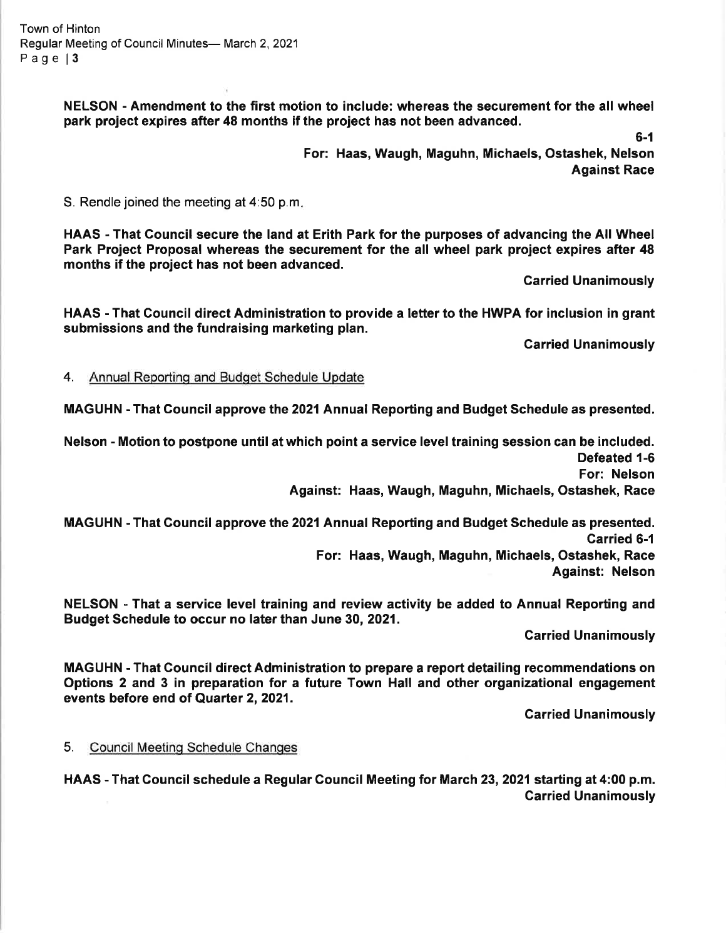Town of Hinton Regular Meeting of Council Minutes- March 2, 2021 Page | 3

> NELSON - Amendment to the first motion to include: whereas the securement for the all wheel park project expires after 48 months if the project has not been advanced.

> > 6-1

For: Haas, Waugh, Maguhn, Michaels, Ostashek, Nelson Against Race

S. Rendle joined the meeting at 4:50 p.m

HAAS - That Council secure the land at Erith Park for the purposes of advancing the All Wheel Park Project Proposal whereas the securement for the all wheel park project expires after 48 months if the project has not been advanced.

Carried Unanimously

HAAS - That Council direct Administration to provide a letter to the HWPA for inclusion in grant submissions and the fundraising marketing plan.

Garried Unanimously

4. Annual Reporting and Budget Schedule Update

MAGUHN - That Council approve the 2021 Annual Reporting and Budget Schedule as presented.

Nelson - Motion to postpone until at which point a service level training session can be included. Defeated 1-6 For: Nelson

Against: Haas, Waugh, Maguhn, Michaels, Ostashek, Race

MAGUHN - That Gouncil approve the 2021Annual Reporting and Budget Schedule as presented. Garried 6-1 For: Haas, Waugh, Maguhn, Michaels, Ostashek, Race Against: Nelson

NELSON - That a service level training and review activity be added to Annual Reporting and Budget Schedule to occur no later than June 30,2021.

Garried Unanimously

MAGUHN 'That Council direct Administration to prepare a report detailing recommendations on Options 2 and 3 in preparation for a future Town Hall and other organizational engagement events before end of Quarter 2, 2021.

**Carried Unanimously** 

5. Council Meeting Schedule Changes

HAAS - That Council schedule a Regular Council Meeting for March 23, 2021 starting at 4:00 p.m. Carried Unanimously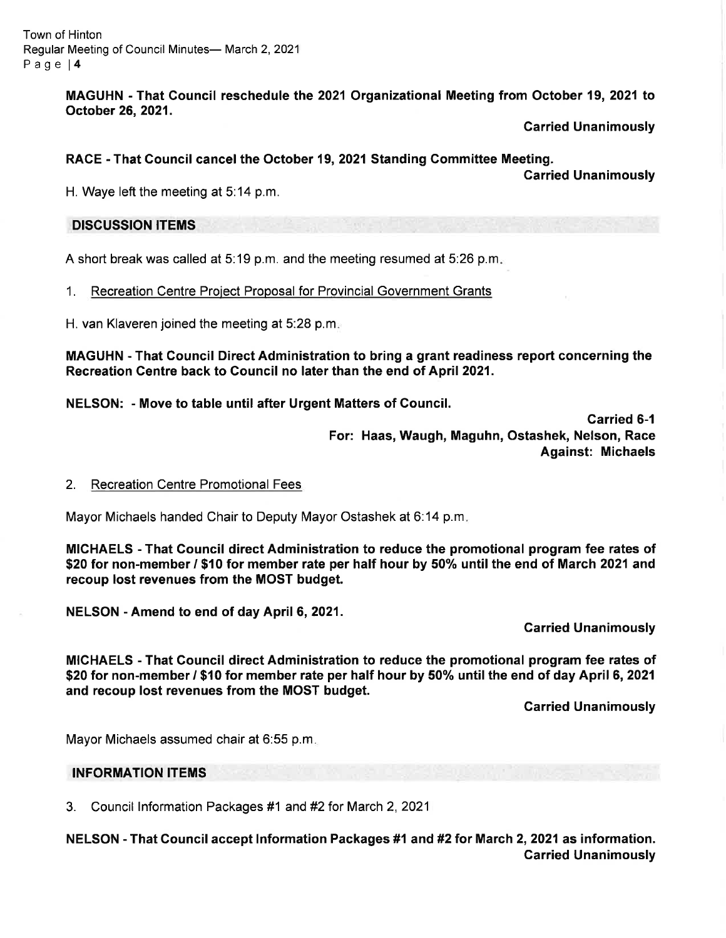Town of Hinton Regular Meeting of Council Minutes- March 2, 2021 Page l4

> MAGUHN - That Council reschedule the 2021 Organizational Meeting from October 19,2021 to October 26,2021.

> > Carried Unanimously

## RACE - That Council cancel the October 19, 2021 Standing Gommittee Meeting.

Carried Unanimously

H. Waye left the meeting at 5:14 p.m.

## DISCUSSION ITEMS

A short break was called at 5:19 p.m. and the meeting resumed at 5:26 p.m

1. Recreation Centre Proiect Proposal for Provincial Government Grants

H. van Klaveren joined the meeting at 5:28 p.m

MAGUHN - That Council Direct Administration to bring a grant readiness report concerning the Recreation Centre back to Council no later than the end of April 2021.

NELSON: - Move to table until after Urgent Matters of Gouncil.

Carried 6-1 For: Haas, Waugh, Maguhn, Ostashek, Nelson, Race Against: Michaels

### 2. Recreation Centre Promotional Fees

Mayor Michaels handed Chair to Deputy Mayor Ostashek at 6:14 p.m

MICHAELS - That Council direct Administration to reduce the promotional program fee rates of \$20 for non-member / \$10 for member rate per half hour by 50% until the end of March 2021 and recoup lost revenues from the MOST budget.

NELSON - Amend to end of day April 6, 2021.

Garried Unanimously

MICHAELS - That Council direct Administration to reduce the promotional program fee rates of \$20 for non-member / \$10 for member rate per half hour by 50% until the end of day April 6, 2021 and recoup lost revenues from the MOST budget.

Carried Unanimously

Mayor Michaels assumed chair at 6:55 p.m

### INFORMATION ITEMS

3. Council lnformation Packages #1 and#2for March 2,2021

NELSON - That Gouncil accept lnformation Packages #1 and #2for March 2,2021 as information. Garried Unanimously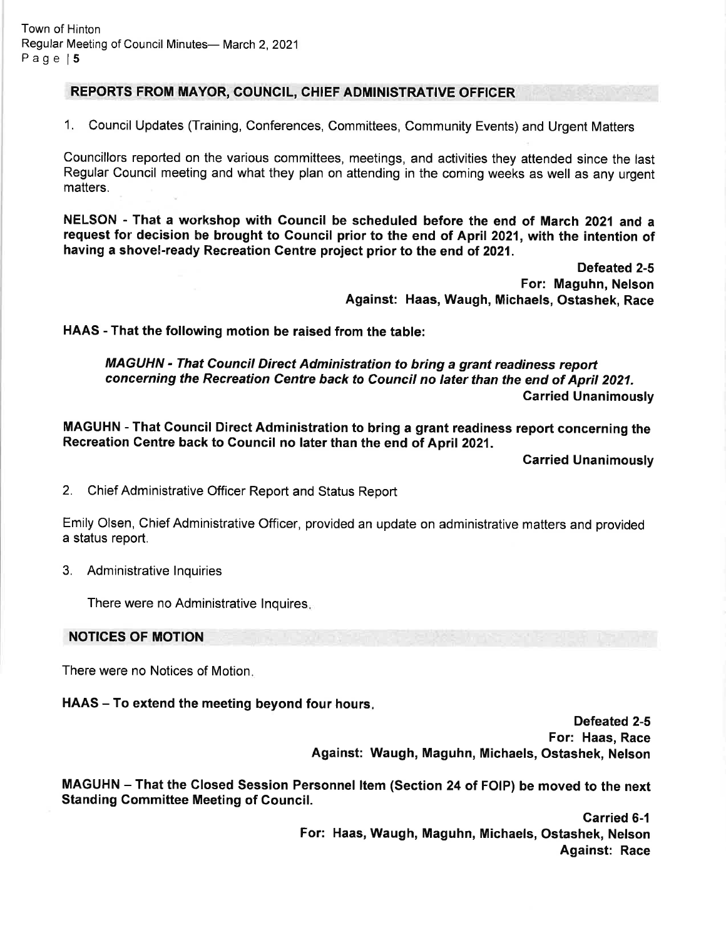## REPORTS FROM MAYOR, COUNCIL, CHIEF ADMINISTRATIVE OFFICER

1. Council Updates (Training, Conferences, Committees, Community Events) and Urgent Matters

Councillors reported on the various committees, meetings, and activities they attended since the last Regular Council meeting and what they plan on attending in the coming weeks as well as any urgent matters.

NELSON - That a workshop with Gouncil be scheduled before the end of March 2021 and <sup>a</sup> request for decision be brought to Council prior to the end of April 2021, with the intention of having a shovel-ready Recreation Gentre project prior to the end of 2021.

> Defeated 2-5 For: Maguhn, Nelson Against: Haas, Waugh, Michaels, Ostashek, Race

HAAS - That the following motion be raised from the table:

MAGUHN - That Council Direct Administration to bring a grant readiness report concerning the Recreation Centre back to Council no later than the end of April 2021. Garried Unanimously

MAGUHN - That Gouncil Direct Administration to bring a grant readiness report concerning the Recreation Centre back to Council no later than the end of April 2021.

Carried Unanimously

2. Chief Administrative Officer Report and Status Report

Emily Olsen, Chief Administrative Officer, provided an update on administrative matters and provided a status report.

3. Administrative lnquiries

There were no Administrative lnquires

### NOTICES OF MOTION

There were no Notices of Motion

HAAS – To extend the meeting beyond four hours.

Defeated 2-5 For: Haas, Race Against: Waugh, Maguhn, Michaels, Ostashek, Nelson

MAGUHN - That the Glosed Session Personnel ltem (Section 24 of FOIP) be moved to the next Standing Committee Meeting of Council.

> Garried 6-1 For: Haas, Waugh, Maguhn, Michaels, Ostashek, Nelson Against: Race